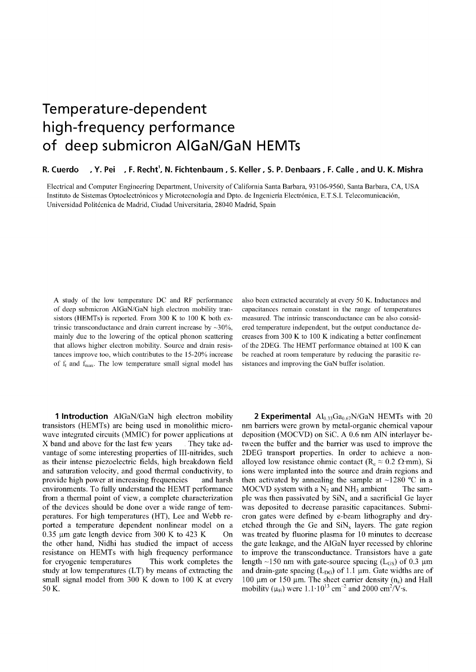## Temperature-dependent high-frequency performance of deep submicron AIGaN/GaN HEMTs

## R. Cuerdo H. Y. Pei H. F. Recht<sup>1</sup>, N. Fichtenbaum , S. Keller , S. P. Denbaars , F. Calle , and U. K. Mishra

Electrical and Computer Engineering Department, University of California Santa Barbara, 93106-9560, Santa Barbara, CA, USA Instituto de Sistemas Optoelectrónicos y Microtecnología and Dpto. de Ingeniería Electrónica, E.T.S.I. Telecomunicación, Universidad Politecnica de Madrid, Ciudad Universitaria, 28040 Madrid, Spain

A study of the low temperature DC and RF performance of deep submicron AIGaN/GaN high electron mobility transistors (HEMTs) is reported. From 300 K to 100 K both extrinsic transconductance and drain current increase by  $\sim$ 30%, mainly due to the lowering of the optical phonon scattering that allows higher electron mobility. Source and drain resistances improve too, which contributes to the 15-20% increase of  $f_t$  and  $f_{\text{max}}$ . The low temperature small signal model has

**1 Introduction** AIGaN/GaN high electron mobility transistors (HEMTs) are being used in monolithic microwave integrated circuits (MMIC) for power applications at X band and above for the last few years They take advantage of some interesting properties of Ill-nitrides, such as their intense piezoelectric fields, high breakdown field and saturation velocity, and good thermal conductivity, to provide high power at increasing frequencies and harsh environments. To fully understand the HEMT performance from a thermal point of view, a complete characterization of the devices should be done over a wide range of temperatures. For high temperatures (HT), Lee and Webb reported a temperature dependent nonlinear model on a 0.35  $\mu$ m gate length device from 300 K to 423 K On the other hand, Nidhi has studied the impact of access resistance on HEMTs with high frequency performance for cryogenic temperatures This work completes the study at low temperatures (LT) by means of extracting the small signal model from 300 K down to 100 K at every 50 K.

also been extracted accurately at every 50 K. Inductances and capacitances remain constant in the range of temperatures measured. The intrinsic transconductance can be also considered temperature independent, but the output conductance decreases from 300 K to 100 K indicating a better confinement of the 2DEG. The HEMT performance obtained at 100 K can be reached at room temperature by reducing the parasitic resistances and improving the GaN buffer isolation.

**2 Experimental**  $\text{Al}_{0.33}\text{Ga}_{0.67}\text{N/GaN HEMTs with 20}$ nm barriers were grown by metal-organic chemical vapour deposition (MOCVD) on SiC. A 0.6 nm A1N interlayer between the buffer and the barrier was used to improve the 2DEG transport properties. In order to achieve a nonalloyed low resistance ohmic contact ( $R_c \approx 0.2 \Omega$ -mm), Si ions were implanted into the source and drain regions and then activated by annealing the sample at  $\sim$ 1280 °C in a MOCVD system with a  $N_2$  and NH<sub>3</sub> ambient The sample was then passivated by  $SiN_x$  and a sacrificial Ge layer was deposited to decrease parasitic capacitances. Submicron gates were defined by e-beam lithography and dryetched through the Ge and  $\text{SiN}_x$  layers. The gate region was treated by fluorine plasma for 10 minutes to decrease the gate leakage, and the AlGaN layer recessed by chlorine to improve the transconductance. Transistors have a gate length  $\sim$ 150 nm with gate-source spacing (L<sub>GS</sub>) of 0.3 µm and drain-gate spacing  $(L_{DG})$  of 1.1 µm. Gate widths are of 100  $\mu$ m or 150  $\mu$ m. The sheet carrier density (n<sub>s</sub>) and Hall mobility ( $\mu_H$ ) were 1.1·10<sup>13</sup> cm<sup>-2</sup> and 2000 cm<sup>2</sup>/V·s.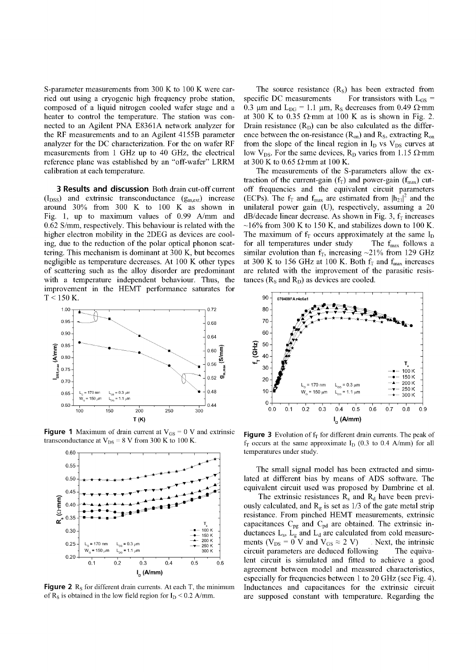S-parameter measurements from 300 K to 100 K were carried out using a cryogenic high frequency probe station, composed of a liquid nitrogen cooled wafer stage and a heater to control the temperature. The station was connected to an Agilent PNA E8361A network analyzer for the RF measurements and to an Agilent 4155B parameter analyzer for the DC characterization. For the on wafer RF measurements from 1 GHz up to 40 GHz, the electrical reference plane was established by an "off-wafer" LRRM calibration at each temperature.

**3 Results and discussion** Both drain cut-off current  $(I_{DSS})$  and extrinsic transconductance  $(g_{m,ext})$  increase around 30% from 300 K to 100 K as shown in Fig. 1, up to maximum values of 0.99 A/mm and 0.62 S/mm, respectively. This behaviour is related with the higher electron mobility in the 2DEG as devices are cooling, due to the reduction of the polar optical phonon scattering. This mechanism is dominant at 300 K, but becomes negligible as temperature decreases. At 100 K other types of scattering such as the alloy disorder are predominant with a temperature independent behaviour. Thus, the improvement in the HEMT performance saturates for  $T < 150$  K.



**Figure 1** Maximum of drain current at  $V_{GS} = 0$  V and extrinsic transconductance at  $V_{DS} = 8$  V from 300 K to 100 K.



**Figure 2**  $R_s$  for different drain currents. At each  $T$ , the minimum of  $R_s$  is obtained in the low field region for  $I_D < 0.2$  A/mm.

The source resistance  $(R<sub>S</sub>)$  has been extracted from specific DC measurements For transistors with L<sub>GS</sub> = 0.3  $\mu$ m and L<sub>DG</sub> = 1.1  $\mu$ m, R<sub>S</sub> decreases from 0.49  $\Omega$ ·mm at 300 K to 0.35  $\Omega$  mm at 100 K as is shown in Fig. 2. Drain resistance  $(R_D)$  can be also calculated as the difference between the on-resistance  $(R_{on})$  and  $R_s$ , extracting  $R_{on}$ from the slope of the lineal region in  $I_D$  vs  $V_{DS}$  curves at low V<sub>DS</sub>. For the same devices, R<sub>D</sub> varies from 1.15  $\Omega$ -mm at 300 K to 0.65  $\Omega$ ·mm at 100 K.

The measurements of the S-parameters allow the extraction of the current-gain ( $f_T$ ) and power-gain ( $f_{max}$ ) cutoff frequencies and the equivalent circuit parameters (ECPs). The  $f_T$  and  $f_{max}$  are estimated from  $|h_{21}|^2$  and the unilateral power gain (U), respectively, assuming a 20  $dB/decade$  linear decrease. As shown in Fig. 3,  $f<sub>T</sub>$  increases  $\sim$ 16% from 300 K to 150 K, and stabilizes down to 100 K. The maximum of  $f<sub>T</sub>$  occurs approximately at the same  $I<sub>D</sub>$ for all temperatures under study The  $f_{\text{max}}$  follows a similar evolution than  $f_T$ , increasing ~21% from 129 GHz at 300 K to 156 GHz at 100 K. Both  $f_T$  and  $f_{max}$  increases are related with the improvement of the parasitic resistances ( $R_s$  and  $R_p$ ) as devices are cooled.



**Figure 3** Evolution of  $f<sub>T</sub>$  for different drain currents. The peak of  $f<sub>T</sub>$  occurs at the same approximate  $I<sub>D</sub>$  (0.3 to 0.4 A/mm) for all temperatures under study.

The small signal model has been extracted and simulated at different bias by means of ADS software. The equivalent circuit used was proposed by Dambrine et al.

The extrinsic resistances  $R_s$  and  $R_d$  have been previously calculated, and  $R_g$  is set as 1/3 of the gate metal strip resistance. From pinched HEMT measurements, extrinsic capacitances  $C_{pg}$  and  $C_{pd}$  are obtained. The extrinsic inductances  $L_s$ ,  $L_g$  and  $L_d$  are calculated from cold measurements ( $V_{DS} = 0$  V and  $V_{GS} \approx 2$  V) Next, the intrinsic circuit parameters are deduced following The equivalent circuit is simulated and fitted to achieve a good agreement between model and measured characteristics, especially for frequencies between 1 to 20 GHz (see Fig. 4). Inductances and capacitances for the extrinsic circuit are supposed constant with temperature. Regarding the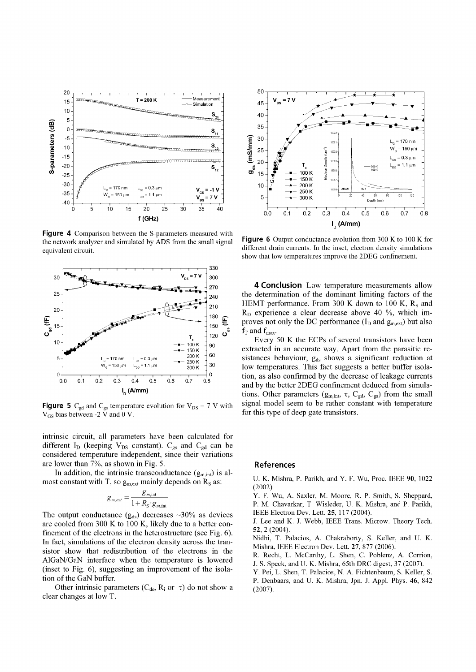

**Figure 4** Comparison between the S-parameters measured with the network analyzer and simulated by ADS from the small signal equivalent circuit.



**Figure 5**  $C_{gd}$  and  $C_{gs}$  temperature evolution for  $V_{DS} = 7$  V with  $V_{GS}$  bias between -2  $\bar{V}$  and 0 V.

intrinsic circuit, all parameters have been calculated for different  $I_D$  (keeping  $V_{DS}$  constant).  $C_{gs}$  and  $C_{gd}$  can be considered temperature independent, since their variations are lower than 7%, as shown in Fig. 5.

In addition, the intrinsic transconductance  $(g_{m, int})$  is almost constant with T, so  $g_{m,ext}$  mainly depends on  $R_s$  as:

$$
g_{m,ext} = \frac{g_{m,int}}{1 + R_S \cdot g_{m,int}}
$$

The output conductance  $(g_{ds})$  decreases  $\sim$ 30% as devices are cooled from 300 K to 100 K, likely due to a better confinement of the electrons in the heterostructure (see Fig. 6). In fact, simulations of the electron density across the transistor show that redistribution of the electrons in the AlGaN/GaN interface when the temperature is lowered (inset to Fig. 6), suggesting an improvement of the isolation of the GaN buffer.

Other intrinsic parameters ( $C_{ds}$ ,  $R_i$  or  $\tau$ ) do not show a clear changes at low T.



**Figure 6** Output conductance evolution from 300 K to 100 K for different drain currents. In the inset, electron density simulations show that low temperatures improve the 2DEG confinement.

**4 Conclusion** Low temperature measurements allow the determination of the dominant limiting factors of the HEMT performance. From 300 K down to 100 K,  $R_s$  and  $R_D$  experience a clear decrease above 40 %, which improves not only the DC performance  $(I_D$  and  $g_{m,ext}$ ) but also  $f_T$  and  $f_{max}$ .

Every 50 K the ECPs of several transistors have been extracted in an accurate way. Apart from the parasitic resistances behaviour,  $g_{ds}$  shows a significant reduction at low temperatures. This fact suggests a better buffer isolation, as also confirmed by the decrease of leakage currents and by the better 2DEG confinement deduced from simulations. Other parameters ( $g_{m, int}$ ,  $\tau$ ,  $C_{gd}$ ,  $C_{gs}$ ) from the small signal model seem to be rather constant with temperature for this type of deep gate transistors.

## References

U. K. Mishra, P. Parikh, and Y. F. Wu, Proc. IEEE 90, 1022 (2002).

Y. F. Wu, A. Saxler, M. Moore, R. P. Smith, S. Sheppard, P. M. Chavarkar, T. Wisleder, U. K. Mishra, and P. Parikh, IEEE Electron Dev. Lett. 25, 117 (2004).

J. Lee and K. J. Webb, IEEE Trans. Microw. Theory Tech. 52, 2 (2004).

Nidhi, T. Palacios, A. Chakraborty, S. Keller, and U. K. Mishra, IEEE Electron Dev. Lett. 27, 877 (2006).

R. Recht, L. McCarthy, L. Shen, C. Poblenz, A. Corrion, J. S. Speck, and U. K. Mishra, 65th DRC digest, 37 (2007).

Y. Pei, L. Shen, T. Palacios, N. A. Fichtenbaum, S. Keller, S. P. Denbaars, and U. K. Mishra, Jpn. J. Appl. Phys. 46, 842 (2007).